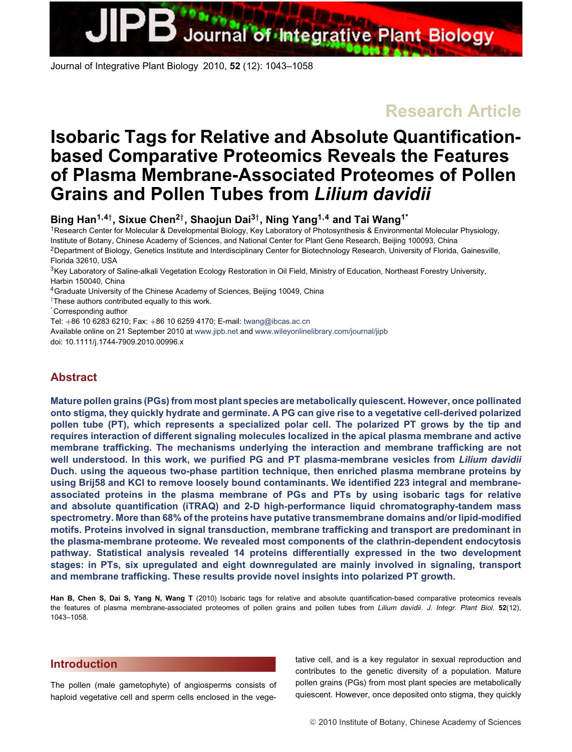<span id="page-0-0"></span>Journal of Integrative **Plant Biology** 

Journal of Integrative Plant Biology 2010, **52** (12): 1043–1058

**Research Article**

# **Isobaric Tags for Relative and Absolute Quantificationbased Comparative Proteomics Reveals the Features of Plasma Membrane-Associated Proteomes of Pollen Grains and Pollen Tubes from** *Lilium davidii*

**Bing Han1***,***4***†***, Sixue Chen2***†***, Shaojun Dai3***†***, Ning Yang1***,***<sup>4</sup> and Tai Wang1<sup>∗</sup>**

<sup>1</sup>Research Center for Molecular & Developmental Biology, Key Laboratory of Photosynthesis & Environmental Molecular Physiology, Institute of Botany, Chinese Academy of Sciences, and National Center for Plant Gene Research, Beijing 100093, China <sup>2</sup>Department of Biology, Genetics Institute and Interdisciplinary Center for Biotechnology Research, University of Florida, Gainesville,

Florida 32610, USA

<sup>3</sup>Key Laboratory of Saline-alkali Vegetation Ecology Restoration in Oil Field, Ministry of Education, Northeast Forestry University, Harbin 150040, China

4Graduate University of the Chinese Academy of Sciences, Beijing 10049, China

†These authors contributed equally to this work.

∗ Corresponding author

Tel: +86 10 6283 6210; Fax: +86 10 6259 4170; E-mail: [twang@ibcas.ac.cn](mailto:twang@ibcas.ac.cn)

Available online on 21 September 2010 at [www.jipb.net](file:www.jipb.net) and www.wileyonlinelibrary.com/journal/jipb doi: 10.1111/j.1744-7909.2010.00996.x

# **Abstract**

**Mature pollen grains (PGs) from most plant species are metabolically quiescent. However, once pollinated onto stigma, they quickly hydrate and germinate. A PG can give rise to a vegetative cell-derived polarized pollen tube (PT), which represents a specialized polar cell. The polarized PT grows by the tip and requires interaction of different signaling molecules localized in the apical plasma membrane and active membrane trafficking. The mechanisms underlying the interaction and membrane trafficking are not well understood. In this work, we purified PG and PT plasma-membrane vesicles from** *Lilium davidii* **Duch. using the aqueous two-phase partition technique, then enriched plasma membrane proteins by using Brij58 and KCl to remove loosely bound contaminants. We identified 223 integral and membraneassociated proteins in the plasma membrane of PGs and PTs by using isobaric tags for relative and absolute quantification (iTRAQ) and 2-D high-performance liquid chromatography-tandem mass spectrometry. More than 68% of the proteins have putative transmembrane domains and/or lipid-modified motifs. Proteins involved in signal transduction, membrane trafficking and transport are predominant in the plasma-membrane proteome. We revealed most components of the clathrin-dependent endocytosis pathway. Statistical analysis revealed 14 proteins differentially expressed in the two development stages: in PTs, six upregulated and eight downregulated are mainly involved in signaling, transport and membrane trafficking. These results provide novel insights into polarized PT growth.**

**Han B, Chen S, Dai S, Yang N, Wang T** (2010) Isobaric tags for relative and absolute quantification-based comparative proteomics reveals the features of plasma membrane-associated proteomes of pollen grains and pollen tubes from *Lilium davidii*. *J. Integr. Plant Biol.* **52**(12), 1043–1058.

## **[Introduction](/app/teTeX/techbooks/blackwell/jipb/Head.eps)**

The pollen (male gametophyte) of angiosperms consists of haploid vegetative cell and sperm cells enclosed in the vegetative cell, and is a key regulator in sexual reproduction and contributes to the genetic diversity of a population. Mature pollen grains (PGs) from most plant species are metabolically quiescent. However, once deposited onto stigma, they quickly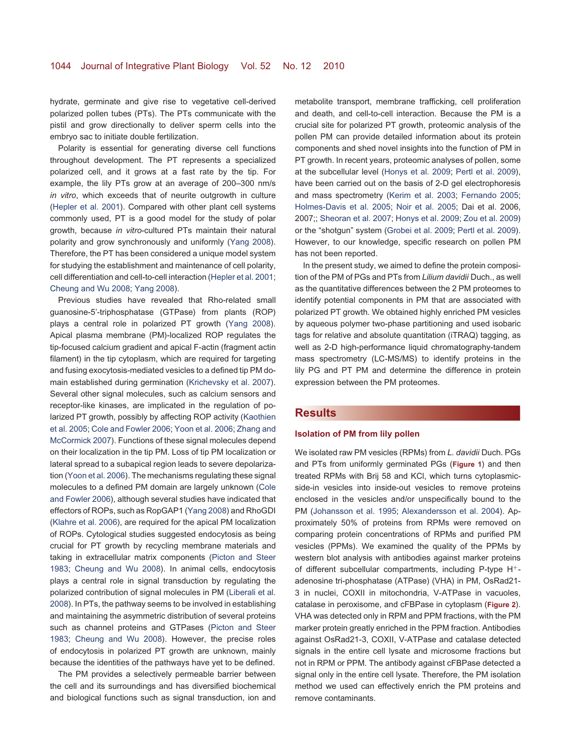hydrate, germinate and give rise to vegetative cell-derived polarized pollen tubes (PTs). The PTs communicate with the pistil and grow directionally to deliver sperm cells into the embryo sac to initiate double fertilization.

Polarity is essential for generating diverse cell functions throughout development. The PT represents a specialized polarized cell, and it grows at a fast rate by the tip. For example, the lily PTs grow at an average of 200–300 nm/s *in vitro*, which exceeds that of neurite outgrowth in culture [\(Hepler et al. 2001\)](#page-14-0). Compared with other plant cell systems commonly used, PT is a good model for the study of polar growth, because *in vitro*-cultured PTs maintain their natural polarity and grow synchronously and uniformly [\(Yang 2008\)](#page-15-0). Therefore, the PT has been considered a unique model system for studying the establishment and maintenance of cell polarity, cell differentiation and cell-to-cell interaction [\(Hepler et al. 2001;](#page-14-0) [Cheung and Wu 2008;](#page-13-0) [Yang 2008\)](#page-15-0).

Previous studies have revealed that Rho-related small guanosine-5'-triphosphatase (GTPase) from plants (ROP) plays a central role in polarized PT growth [\(Yang 2008\)](#page-15-0). Apical plasma membrane (PM)-localized ROP regulates the tip-focused calcium gradient and apical F-actin (fragment actin filament) in the tip cytoplasm, which are required for targeting and fusing exocytosis-mediated vesicles to a defined tip PM domain established during germination [\(Krichevsky et al. 2007\)](#page-14-1). Several other signal molecules, such as calcium sensors and receptor-like kinases, are implicated in the regulation of polarized PT growth, possibly by affecting ROP activity [\(Kaothien](#page-14-2) [et al. 2005;](#page-14-2) [Cole and Fowler 2006;](#page-13-1) [Yoon et al. 2006;](#page-15-1) [Zhang and](#page-15-2) [McCormick 2007\)](#page-15-2). Functions of these signal molecules depend on their localization in the tip PM. Loss of tip PM localization or lateral spread to a subapical region leads to severe depolarization [\(Yoon et al. 2006\)](#page-15-1). The mechanisms regulating these signal molecules to a defined PM domain are largely unknown [\(Cole](#page-13-1) [and Fowler 2006\)](#page-13-1), although several studies have indicated that effectors of ROPs, such as RopGAP1 [\(Yang 2008\)](#page-15-0) and RhoGDI [\(Klahre et al. 2006\)](#page-14-3), are required for the apical PM localization of ROPs. Cytological studies suggested endocytosis as being crucial for PT growth by recycling membrane materials and taking in extracellular matrix components [\(Picton and Steer](#page-14-4) [1983;](#page-14-4) [Cheung and Wu 2008\)](#page-13-0). In animal cells, endocytosis plays a central role in signal transduction by regulating the polarized contribution of signal molecules in PM [\(Liberali et al.](#page-14-5) [2008\)](#page-14-5). In PTs, the pathway seems to be involved in establishing and maintaining the asymmetric distribution of several proteins such as channel proteins and GTPases [\(Picton and Steer](#page-14-4) [1983;](#page-14-4) [Cheung and Wu 2008\)](#page-13-0). However, the precise roles of endocytosis in polarized PT growth are unknown, mainly because the identities of the pathways have yet to be defined.

The PM provides a selectively permeable barrier between the cell and its surroundings and has diversified biochemical and biological functions such as signal transduction, ion and metabolite transport, membrane trafficking, cell proliferation and death, and cell-to-cell interaction. Because the PM is a crucial site for polarized PT growth, proteomic analysis of the pollen PM can provide detailed information about its protein components and shed novel insights into the function of PM in PT growth. In recent years, proteomic analyses of pollen, some at the subcellular level [\(Honys et al. 2009;](#page-14-6) [Pertl et al. 2009\)](#page-14-7), have been carried out on the basis of 2-D gel electrophoresis and mass spectrometry [\(Kerim et al. 2003;](#page-14-8) [Fernando 2005;](#page-13-2) [Holmes-Davis et al. 2005;](#page-14-9) [Noir et al. 2005;](#page-14-10) Dai et al. 2006, 2007;; [Sheoran et al. 2007;](#page-15-3) [Honys et al. 2009;](#page-14-6) [Zou et al. 2009\)](#page-15-4) or the "shotgun" system [\(Grobei et al. 2009;](#page-13-3) [Pertl et al. 2009\)](#page-14-7). However, to our knowledge, specific research on pollen PM has not been reported.

In the present study, we aimed to define the protein composition of the PM of PGs and PTs from *Lilium davidii* Duch., as well as the quantitative differences between the 2 PM proteomes to identify potential components in PM that are associated with polarized PT growth. We obtained highly enriched PM vesicles by aqueous polymer two-phase partitioning and used isobaric tags for relative and absolute quantitation (iTRAQ) tagging, as well as 2-D high-performance liquid chromatography-tandem mass spectrometry (LC-MS/MS) to identify proteins in the lily PG and PT PM and determine the difference in protein expression between the PM proteomes.

#### **[Results](/app/teTeX/techbooks/blackwell/jipb/Head.eps)**

#### **Isolation of PM from lily pollen**

We isolated raw PM vesicles (RPMs) from *L. davidii* Duch. PGs and PTs from uniformly germinated PGs (**[Figure 1](#page-2-0)**) and then treated RPMs with Brij 58 and KCl, which turns cytoplasmicside-in vesicles into inside-out vesicles to remove proteins enclosed in the vesicles and/or unspecifically bound to the PM [\(Johansson et al. 1995;](#page-14-11) [Alexandersson et al. 2004\)](#page-13-4). Approximately 50% of proteins from RPMs were removed on comparing protein concentrations of RPMs and purified PM vesicles (PPMs). We examined the quality of the PPMs by western blot analysis with antibodies against marker proteins of different subcellular compartments, including P-type H+ adenosine tri-phosphatase (ATPase) (VHA) in PM, OsRad21- 3 in nuclei, COXII in mitochondria, V-ATPase in vacuoles, catalase in peroxisome, and cFBPase in cytoplasm (**[Figure 2](#page-2-1)**). VHA was detected only in RPM and PPM fractions, with the PM marker protein greatly enriched in the PPM fraction. Antibodies against OsRad21-3, COXII, V-ATPase and catalase detected signals in the entire cell lysate and microsome fractions but not in RPM or PPM. The antibody against cFBPase detected a signal only in the entire cell lysate. Therefore, the PM isolation method we used can effectively enrich the PM proteins and remove contaminants.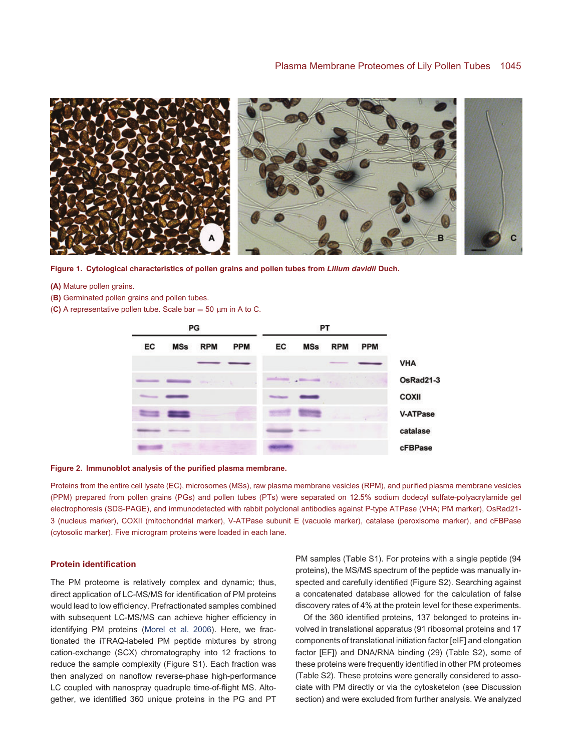

**Figure 1. Cytological characteristics of pollen grains and pollen tubes from** *Lilium davidii* **Duch.**

- <span id="page-2-0"></span>**(A)** Mature pollen grains.
- (**B)** Germinated pollen grains and pollen tubes.
- (C) A representative pollen tube. Scale bar =  $50 \mu m$  in A to C.



#### <span id="page-2-1"></span>**Figure 2. Immunoblot analysis of the purified plasma membrane.**

Proteins from the entire cell lysate (EC), microsomes (MSs), raw plasma membrane vesicles (RPM), and purified plasma membrane vesicles (PPM) prepared from pollen grains (PGs) and pollen tubes (PTs) were separated on 12.5% sodium dodecyl sulfate-polyacrylamide gel electrophoresis (SDS-PAGE), and immunodetected with rabbit polyclonal antibodies against P-type ATPase (VHA; PM marker), OsRad21- 3 (nucleus marker), COXII (mitochondrial marker), V-ATPase subunit E (vacuole marker), catalase (peroxisome marker), and cFBPase (cytosolic marker). Five microgram proteins were loaded in each lane.

#### **Protein identification**

The PM proteome is relatively complex and dynamic; thus, direct application of LC-MS/MS for identification of PM proteins would lead to low efficiency. Prefractionated samples combined with subsequent LC-MS/MS can achieve higher efficiency in identifying PM proteins [\(Morel et al. 2006\)](#page-14-12). Here, we fractionated the iTRAQ-labeled PM peptide mixtures by strong cation-exchange (SCX) chromatography into 12 fractions to reduce the sample complexity (Figure S1). Each fraction was then analyzed on nanoflow reverse-phase high-performance LC coupled with nanospray quadruple time-of-flight MS. Altogether, we identified 360 unique proteins in the PG and PT

PM samples (Table S1). For proteins with a single peptide (94 proteins), the MS/MS spectrum of the peptide was manually inspected and carefully identified (Figure S2). Searching against a concatenated database allowed for the calculation of false discovery rates of 4% at the protein level for these experiments.

Of the 360 identified proteins, 137 belonged to proteins involved in translational apparatus (91 ribosomal proteins and 17 components of translational initiation factor [eIF] and elongation factor [EF]) and DNA/RNA binding (29) (Table S2), some of these proteins were frequently identified in other PM proteomes (Table S2). These proteins were generally considered to associate with PM directly or via the cytosketelon (see Discussion section) and were excluded from further analysis. We analyzed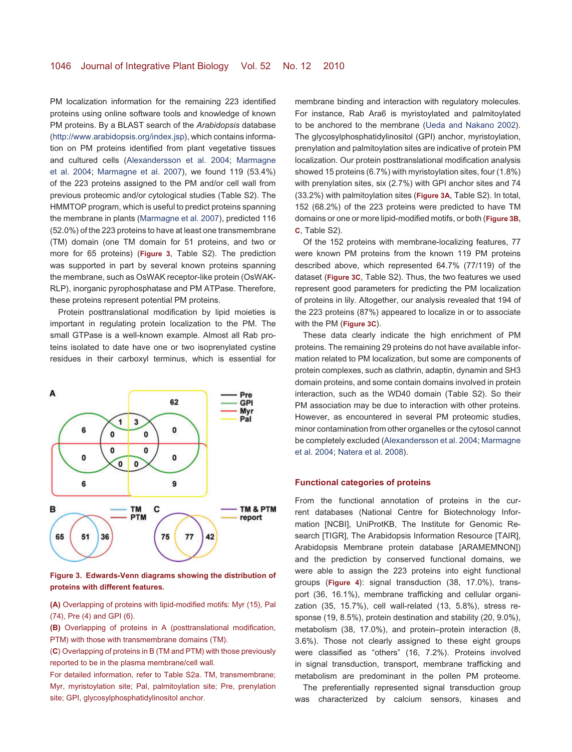PM localization information for the remaining 223 identified proteins using online software tools and knowledge of known PM proteins. By a BLAST search of the *Arabidopsis* database [\(http://www.arabidopsis.org/index.jsp\)](http://www.arabidopsis.org/index.jsp), which contains information on PM proteins identified from plant vegetative tissues and cultured cells [\(Alexandersson et al. 2004;](#page-13-4) [Marmagne](#page-14-13) [et al. 2004;](#page-14-13) [Marmagne et al. 2007\)](#page-14-14), we found 119 (53.4%) of the 223 proteins assigned to the PM and/or cell wall from previous proteomic and/or cytological studies (Table S2). The HMMTOP program, which is useful to predict proteins spanning the membrane in plants [\(Marmagne et al. 2007\)](#page-14-14), predicted 116 (52.0%) of the 223 proteins to have at least one transmembrane (TM) domain (one TM domain for 51 proteins, and two or more for 65 proteins) (**[Figure 3](#page-3-0)**, Table S2). The prediction was supported in part by several known proteins spanning the membrane, such as OsWAK receptor-like protein (OsWAK-RLP), inorganic pyrophosphatase and PM ATPase. Therefore, these proteins represent potential PM proteins.

Protein posttranslational modification by lipid moieties is important in regulating protein localization to the PM. The small GTPase is a well-known example. Almost all Rab proteins isolated to date have one or two isoprenylated cystine residues in their carboxyl terminus, which is essential for



<span id="page-3-0"></span>**Figure 3. Edwards-Venn diagrams showing the distribution of proteins with different features.**

**(A)** Overlapping of proteins with lipid-modified motifs: Myr (15), Pal (74), Pre (4) and GPI (6).

**(B)** Overlapping of proteins in A (posttranslational modification, PTM) with those with transmembrane domains (TM).

(**C**) Overlapping of proteins in B (TM and PTM) with those previously reported to be in the plasma membrane/cell wall.

For detailed information, refer to Table S2a. TM, transmembrane; Myr, myristoylation site; Pal, palmitoylation site; Pre, prenylation site; GPI, glycosylphosphatidylinositol anchor.

membrane binding and interaction with regulatory molecules. For instance, Rab Ara6 is myristoylated and palmitoylated to be anchored to the membrane [\(Ueda and Nakano 2002\)](#page-15-5). The glycosylphosphatidylinositol (GPI) anchor, myristoylation, prenylation and palmitoylation sites are indicative of protein PM localization. Our protein posttranslational modification analysis showed 15 proteins (6.7%) with myristoylation sites, four (1.8%) with prenylation sites, six (2.7%) with GPI anchor sites and 74 (33.2%) with palmitoylation sites (**[Figure 3A](#page-3-0)**, Table S2). In total, 152 (68.2%) of the 223 proteins were predicted to have TM domains or one or more lipid-modified motifs, or both (**[Figure 3B,](#page-3-0) [C](#page-3-0)**, Table S2).

Of the 152 proteins with membrane-localizing features, 77 were known PM proteins from the known 119 PM proteins described above, which represented 64.7% (77/119) of the dataset (**[Figure 3C](#page-3-0)**, Table S2). Thus, the two features we used represent good parameters for predicting the PM localization of proteins in lily. Altogether, our analysis revealed that 194 of the 223 proteins (87%) appeared to localize in or to associate with the PM (**[Figure 3C](#page-3-0)**).

These data clearly indicate the high enrichment of PM proteins. The remaining 29 proteins do not have available information related to PM localization, but some are components of protein complexes, such as clathrin, adaptin, dynamin and SH3 domain proteins, and some contain domains involved in protein interaction, such as the WD40 domain (Table S2). So their PM association may be due to interaction with other proteins. However, as encountered in several PM proteomic studies, minor contamination from other organelles or the cytosol cannot be completely excluded [\(Alexandersson et al. 2004;](#page-13-4) [Marmagne](#page-14-13) [et al. 2004;](#page-14-13) [Natera et al. 2008\)](#page-14-15).

#### **Functional categories of proteins**

From the functional annotation of proteins in the current databases (National Centre for Biotechnology Information [NCBI], UniProtKB, The Institute for Genomic Research [TIGR], The Arabidopsis Information Resource [TAIR], Arabidopsis Membrane protein database [ARAMEMNON]) and the prediction by conserved functional domains, we were able to assign the 223 proteins into eight functional groups (**[Figure 4](#page-4-0)**): signal transduction (38, 17.0%), transport (36, 16.1%), membrane trafficking and cellular organization (35, 15.7%), cell wall-related (13, 5.8%), stress response (19, 8.5%), protein destination and stability (20, 9.0%), metabolism (38, 17.0%), and protein–protein interaction (8, 3.6%). Those not clearly assigned to these eight groups were classified as "others" (16, 7.2%). Proteins involved in signal transduction, transport, membrane trafficking and metabolism are predominant in the pollen PM proteome.

The preferentially represented signal transduction group was characterized by calcium sensors, kinases and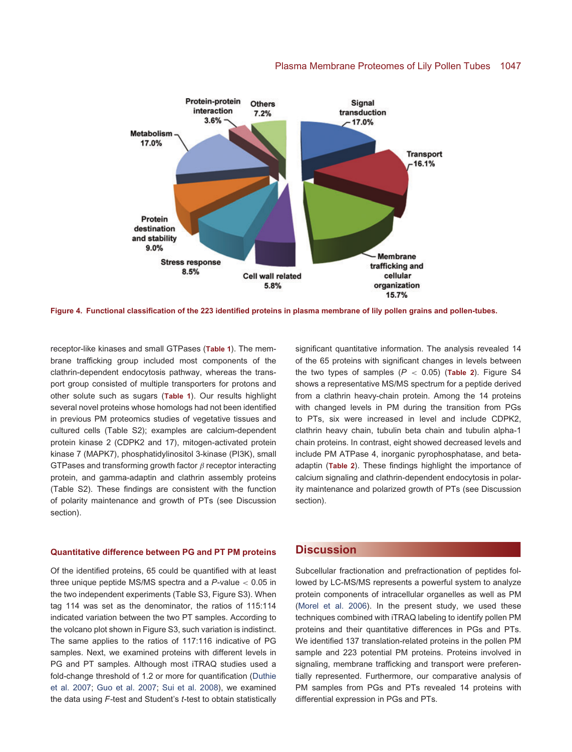#### Plasma Membrane Proteomes of Lily Pollen Tubes 1047



<span id="page-4-0"></span>**Figure 4. Functional classification of the 223 identified proteins in plasma membrane of lily pollen grains and pollen-tubes.**

receptor-like kinases and small GTPases (**[Table 1](#page-5-0)**). The membrane trafficking group included most components of the clathrin-dependent endocytosis pathway, whereas the transport group consisted of multiple transporters for protons and other solute such as sugars (**[Table 1](#page-5-0)**). Our results highlight several novel proteins whose homologs had not been identified in previous PM proteomics studies of vegetative tissues and cultured cells (Table S2); examples are calcium-dependent protein kinase 2 (CDPK2 and 17), mitogen-activated protein kinase 7 (MAPK7), phosphatidylinositol 3-kinase (PI3K), small GTPases and transforming growth factor  $\beta$  receptor interacting protein, and gamma-adaptin and clathrin assembly proteins (Table S2). These findings are consistent with the function of polarity maintenance and growth of PTs (see Discussion section).

#### **Quantitative difference between PG and PT PM proteins**

Of the identified proteins, 65 could be quantified with at least three unique peptide MS/MS spectra and a *P*-value < 0.05 in the two independent experiments (Table S3, Figure S3). When tag 114 was set as the denominator, the ratios of 115:114 indicated variation between the two PT samples. According to the volcano plot shown in Figure S3, such variation is indistinct. The same applies to the ratios of 117:116 indicative of PG samples. Next, we examined proteins with different levels in PG and PT samples. Although most iTRAQ studies used a fold-change threshold of 1.2 or more for quantification [\(Duthie](#page-13-5) [et al. 2007;](#page-13-5) [Guo et al. 2007;](#page-13-6) [Sui et al. 2008\)](#page-15-6), we examined the data using *F*-test and Student's *t*-test to obtain statistically

significant quantitative information. The analysis revealed 14 of the 65 proteins with significant changes in levels between the two types of samples  $(P < 0.05)$  ([Table 2](#page-9-0)). Figure S4 shows a representative MS/MS spectrum for a peptide derived from a clathrin heavy-chain protein. Among the 14 proteins with changed levels in PM during the transition from PGs to PTs, six were increased in level and include CDPK2, clathrin heavy chain, tubulin beta chain and tubulin alpha-1 chain proteins. In contrast, eight showed decreased levels and include PM ATPase 4, inorganic pyrophosphatase, and betaadaptin (**[Table 2](#page-9-0)**). These findings highlight the importance of calcium signaling and clathrin-dependent endocytosis in polarity maintenance and polarized growth of PTs (see Discussion section).

## **[Discussion](/app/teTeX/techbooks/blackwell/jipb/Head.eps)**

Subcellular fractionation and prefractionation of peptides followed by LC-MS/MS represents a powerful system to analyze protein components of intracellular organelles as well as PM [\(Morel et al. 2006\)](#page-14-12). In the present study, we used these techniques combined with iTRAQ labeling to identify pollen PM proteins and their quantitative differences in PGs and PTs. We identified 137 translation-related proteins in the pollen PM sample and 223 potential PM proteins. Proteins involved in signaling, membrane trafficking and transport were preferentially represented. Furthermore, our comparative analysis of PM samples from PGs and PTs revealed 14 proteins with differential expression in PGs and PTs.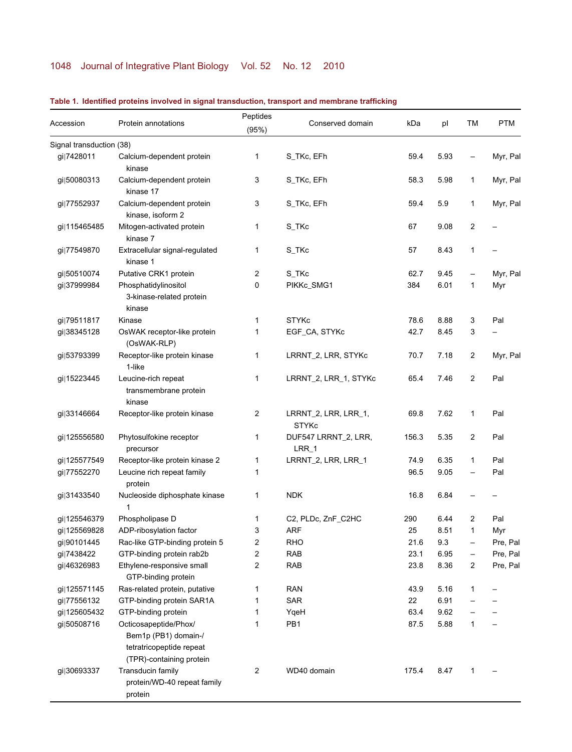# 1048 Journal of Integrative Plant Biology Vol. 52 No. 12 2010

<span id="page-5-0"></span>

| Accession                | Protein annotations                                                                                   | Peptides       | Conserved domain                     | kDa   | pl   | ТM | <b>PTM</b> |
|--------------------------|-------------------------------------------------------------------------------------------------------|----------------|--------------------------------------|-------|------|----|------------|
|                          |                                                                                                       | (95%)          |                                      |       |      |    |            |
| Signal transduction (38) |                                                                                                       |                |                                      |       |      |    |            |
| gi 7428011               | Calcium-dependent protein<br>kinase                                                                   | 1              | S_TKc, EFh                           | 59.4  | 5.93 |    | Myr, Pal   |
| gi 50080313              | Calcium-dependent protein<br>kinase 17                                                                | 3              | S_TKc, EFh                           | 58.3  | 5.98 | 1  | Myr, Pal   |
| gi 77552937              | Calcium-dependent protein<br>kinase, isoform 2                                                        | 3              | S_TKc, EFh                           | 59.4  | 5.9  | 1  | Myr, Pal   |
| gi 115465485             | Mitogen-activated protein<br>kinase 7                                                                 | 1              | S_TKc                                | 67    | 9.08 | 2  |            |
| gi 77549870              | Extracellular signal-regulated<br>kinase 1                                                            | 1              | S_TKc                                | 57    | 8.43 | 1  |            |
| gi 50510074              | Putative CRK1 protein                                                                                 | 2              | S_TKc                                | 62.7  | 9.45 |    | Myr, Pal   |
| gi 37999984              | Phosphatidylinositol<br>3-kinase-related protein<br>kinase                                            | 0              | PIKKc_SMG1                           | 384   | 6.01 | 1  | Myr        |
| gi 79511817              | Kinase                                                                                                | 1              | <b>STYKc</b>                         | 78.6  | 8.88 | 3  | Pal        |
| gi 38345128              | OsWAK receptor-like protein<br>(OsWAK-RLP)                                                            | 1              | EGF_CA, STYKc                        | 42.7  | 8.45 | 3  |            |
| gi 53793399              | Receptor-like protein kinase<br>1-like                                                                | 1              | LRRNT_2, LRR, STYKc                  | 70.7  | 7.18 | 2  | Myr, Pal   |
| gi 15223445              | Leucine-rich repeat<br>transmembrane protein<br>kinase                                                | 1              | LRRNT_2, LRR_1, STYKc                | 65.4  | 7.46 | 2  | Pal        |
| gi 33146664              | Receptor-like protein kinase                                                                          | $\overline{2}$ | LRRNT_2, LRR, LRR_1,<br><b>STYKc</b> | 69.8  | 7.62 | 1  | Pal        |
| gi 125556580             | Phytosulfokine receptor<br>precursor                                                                  | 1              | DUF547 LRRNT_2, LRR,<br>$LRR_1$      | 156.3 | 5.35 | 2  | Pal        |
| gi 125577549             | Receptor-like protein kinase 2                                                                        | 1              | LRRNT_2, LRR, LRR_1                  | 74.9  | 6.35 | 1  | Pal        |
| gi 77552270              | Leucine rich repeat family<br>protein                                                                 | 1              |                                      | 96.5  | 9.05 |    | Pal        |
| gi 31433540              | Nucleoside diphosphate kinase<br>1                                                                    | 1              | <b>NDK</b>                           | 16.8  | 6.84 |    |            |
| gi 125546379             | Phospholipase D                                                                                       | 1              | C2, PLDc, ZnF_C2HC                   | 290   | 6.44 | 2  | Pal        |
| gi 125569828             | ADP-ribosylation factor                                                                               | 3              | <b>ARF</b>                           | 25    | 8.51 | 1  | Myr        |
| gi 90101445              | Rac-like GTP-binding protein 5                                                                        | $\mathbf{z}$   | <b>RHO</b>                           | 21.6  | 9.3  |    | Pre, Pal   |
| gi 7438422               | GTP-binding protein rab2b                                                                             | 2              | <b>RAB</b>                           | 23.1  | 6.95 |    | Pre, Pal   |
| gi 46326983              | Ethylene-responsive small<br>GTP-binding protein                                                      | 2              | <b>RAB</b>                           | 23.8  | 8.36 | 2  | Pre, Pal   |
| gi 125571145             | Ras-related protein, putative                                                                         | 1              | <b>RAN</b>                           | 43.9  | 5.16 | 1  |            |
| gi 77556132              | GTP-binding protein SAR1A                                                                             | 1              | <b>SAR</b>                           | 22    | 6.91 |    |            |
| gi 125605432             | GTP-binding protein                                                                                   | 1              | YqeH                                 | 63.4  | 9.62 |    |            |
| gi 50508716              | Octicosapeptide/Phox/<br>Bem1p (PB1) domain-/<br>tetratricopeptide repeat<br>(TPR)-containing protein | 1              | PB1                                  | 87.5  | 5.88 | 1  |            |
| gi 30693337              | Transducin family<br>protein/WD-40 repeat family<br>protein                                           | 2              | WD40 domain                          | 175.4 | 8.47 | 1  |            |

## **Table 1. Identified proteins involved in signal transduction, transport and membrane trafficking**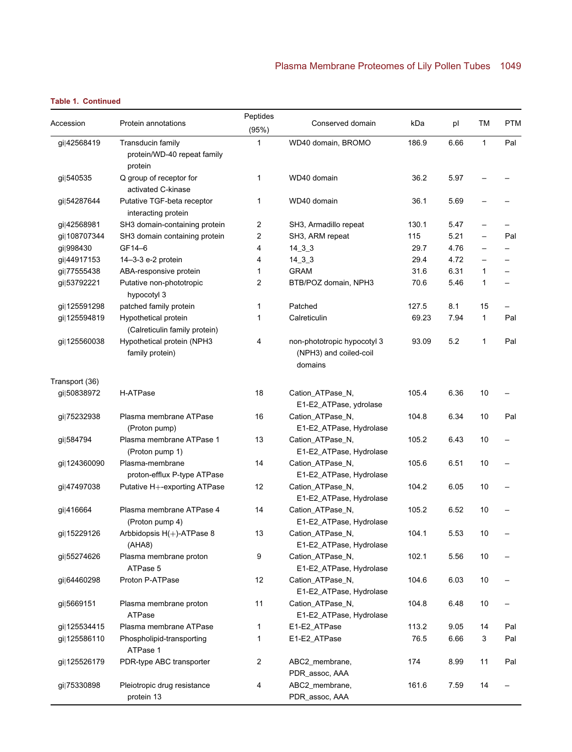| Accession      | Protein annotations                                         | Peptides       | Conserved domain                                                 |       | pl   | ТM                       | <b>PTM</b>               |
|----------------|-------------------------------------------------------------|----------------|------------------------------------------------------------------|-------|------|--------------------------|--------------------------|
|                |                                                             | (95%)          |                                                                  | kDa   |      |                          |                          |
| gi 42568419    | Transducin family<br>protein/WD-40 repeat family<br>protein | 1              | WD40 domain, BROMO                                               | 186.9 | 6.66 | $\mathbf{1}$             | Pal                      |
| gi 540535      | Q group of receptor for<br>activated C-kinase               | 1              | WD40 domain                                                      | 36.2  | 5.97 |                          |                          |
| gi 54287644    | Putative TGF-beta receptor<br>interacting protein           | 1              | WD40 domain                                                      | 36.1  | 5.69 |                          |                          |
| gi 42568981    | SH3 domain-containing protein                               | $\overline{2}$ | SH3, Armadillo repeat                                            | 130.1 | 5.47 |                          |                          |
| gi 108707344   | SH3 domain containing protein                               | 2              | SH3, ARM repeat                                                  | 115   | 5.21 |                          | Pal                      |
| qi 998430      | GF14-6                                                      | 4              | $14\_3\_3$                                                       | 29.7  | 4.76 | $\overline{\phantom{0}}$ |                          |
| gi 44917153    | 14-3-3 e-2 protein                                          | 4              | $14\_3\_3$                                                       | 29.4  | 4.72 | $\overline{\phantom{0}}$ | $\overline{\phantom{0}}$ |
| gi 77555438    | ABA-responsive protein                                      | 1              | <b>GRAM</b>                                                      | 31.6  | 6.31 | 1                        | $\overline{\phantom{0}}$ |
| gi 53792221    | Putative non-phototropic<br>hypocotyl 3                     | 2              | BTB/POZ domain, NPH3                                             | 70.6  | 5.46 | 1                        | $\overline{\phantom{0}}$ |
| gi 125591298   | patched family protein                                      | 1              | Patched                                                          | 127.5 | 8.1  | 15                       |                          |
| gi 125594819   | Hypothetical protein<br>(Calreticulin family protein)       | 1              | Calreticulin                                                     | 69.23 | 7.94 | 1                        | Pal                      |
| gi 125560038   | Hypothetical protein (NPH3<br>family protein)               | 4              | non-phototropic hypocotyl 3<br>(NPH3) and coiled-coil<br>domains | 93.09 | 5.2  | 1                        | Pal                      |
| Transport (36) |                                                             |                |                                                                  |       |      |                          |                          |
| gi 50838972    | H-ATPase                                                    | 18             | Cation_ATPase_N,<br>E1-E2_ATPase, ydrolase                       | 105.4 | 6.36 | 10                       |                          |
| gi 75232938    | Plasma membrane ATPase<br>(Proton pump)                     | 16             | Cation_ATPase_N,<br>E1-E2_ATPase, Hydrolase                      | 104.8 | 6.34 | 10                       | Pal                      |
| gi 584794      | Plasma membrane ATPase 1<br>(Proton pump 1)                 | 13             | Cation_ATPase_N,<br>E1-E2_ATPase, Hydrolase                      | 105.2 | 6.43 | 10                       |                          |
| gi 124360090   | Plasma-membrane<br>proton-efflux P-type ATPase              | 14             | Cation_ATPase_N,<br>E1-E2_ATPase, Hydrolase                      | 105.6 | 6.51 | 10                       |                          |
| gi 47497038    | Putative H+-exporting ATPase                                | 12             | Cation_ATPase_N,<br>E1-E2_ATPase, Hydrolase                      | 104.2 | 6.05 | 10                       |                          |
| gi 416664      | Plasma membrane ATPase 4<br>(Proton pump 4)                 | 14             | Cation_ATPase_N,<br>E1-E2_ATPase, Hydrolase                      | 105.2 | 6.52 | 10                       |                          |
| gi 15229126    | Arbbidopsis H(+)-ATPase 8<br>(AHAB)                         | 13             | Cation_ATPase_N,<br>E1-E2_ATPase, Hydrolase                      | 104.1 | 5.53 | 10                       |                          |
| gi 55274626    | Plasma membrane proton<br>ATPase 5                          | 9              | Cation_ATPase_N,<br>E1-E2_ATPase, Hydrolase                      | 102.1 | 5.56 | 10                       |                          |
| gi 64460298    | Proton P-ATPase                                             | 12             | Cation_ATPase_N,<br>E1-E2_ATPase, Hydrolase                      | 104.6 | 6.03 | 10                       |                          |
| gi 5669151     | Plasma membrane proton<br>ATPase                            | 11             | Cation_ATPase_N,<br>E1-E2_ATPase, Hydrolase                      | 104.8 | 6.48 | 10                       |                          |
| gi 125534415   | Plasma membrane ATPase                                      | $\mathbf{1}$   | E1-E2_ATPase                                                     | 113.2 | 9.05 | 14                       | Pal                      |
| gi 125586110   | Phospholipid-transporting<br>ATPase 1                       | 1              | E1-E2_ATPase                                                     | 76.5  | 6.66 | 3                        | Pal                      |
| gi 125526179   | PDR-type ABC transporter                                    | $\overline{2}$ | ABC2_membrane,<br>PDR_assoc, AAA                                 | 174   | 8.99 | 11                       | Pal                      |
| gi 75330898    | Pleiotropic drug resistance<br>protein 13                   | 4              | ABC2_membrane,<br>PDR_assoc, AAA                                 | 161.6 | 7.59 | 14                       |                          |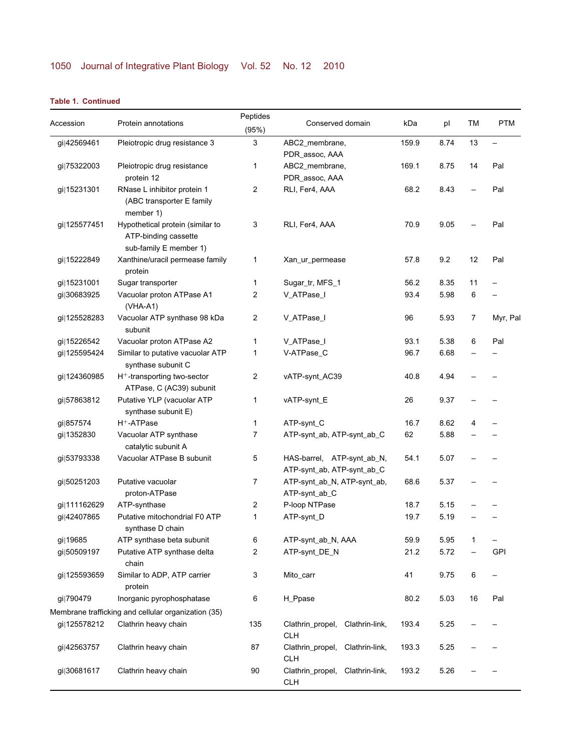|              |                                                                                    | Peptides     |                                                          |       |      |    |                          |
|--------------|------------------------------------------------------------------------------------|--------------|----------------------------------------------------------|-------|------|----|--------------------------|
| Accession    | Protein annotations                                                                | (95%)        | Conserved domain                                         | kDa   | pl   | TM | <b>PTM</b>               |
| gi 42569461  | Pleiotropic drug resistance 3                                                      | 3            | ABC2_membrane,                                           | 159.9 | 8.74 | 13 | $\overline{\phantom{0}}$ |
|              |                                                                                    |              | PDR_assoc, AAA                                           |       |      |    |                          |
| gi 75322003  | Pleiotropic drug resistance<br>protein 12                                          | 1            | ABC2_membrane,<br>PDR_assoc, AAA                         | 169.1 | 8.75 | 14 | Pal                      |
| gi 15231301  | RNase L inhibitor protein 1<br>(ABC transporter E family<br>member 1)              | 2            | RLI, Fer4, AAA                                           | 68.2  | 8.43 |    | Pal                      |
| gi 125577451 | Hypothetical protein (similar to<br>ATP-binding cassette<br>sub-family E member 1) | 3            | RLI, Fer4, AAA                                           | 70.9  | 9.05 |    | Pal                      |
| gi 15222849  | Xanthine/uracil permease family<br>protein                                         | 1            | Xan_ur_permease                                          | 57.8  | 9.2  | 12 | Pal                      |
| gi 15231001  | Sugar transporter                                                                  | 1            | Sugar_tr, MFS_1                                          | 56.2  | 8.35 | 11 |                          |
| gi 30683925  | Vacuolar proton ATPase A1<br>$(VHA-A1)$                                            | 2            | V_ATPase_I                                               | 93.4  | 5.98 | 6  |                          |
| gi 125528283 | Vacuolar ATP synthase 98 kDa<br>subunit                                            | 2            | V_ATPase_I                                               | 96    | 5.93 | 7  | Myr, Pal                 |
| gi 15226542  | Vacuolar proton ATPase A2                                                          | 1            | V_ATPase_I                                               | 93.1  | 5.38 | 6  | Pal                      |
| gi 125595424 | Similar to putative vacuolar ATP<br>synthase subunit C                             | 1            | V-ATPase_C                                               | 96.7  | 6.68 |    |                          |
| gi 124360985 | $H^+$ -transporting two-sector<br>ATPase, C (AC39) subunit                         | 2            | vATP-synt_AC39                                           | 40.8  | 4.94 |    |                          |
| gi 57863812  | Putative YLP (vacuolar ATP<br>synthase subunit E)                                  | 1            | vATP-synt_E                                              | 26    | 9.37 |    |                          |
| gi 857574    | H <sup>+</sup> -ATPase                                                             | $\mathbf{1}$ | ATP-synt_C                                               | 16.7  | 8.62 | 4  |                          |
| gi 1352830   | Vacuolar ATP synthase<br>catalytic subunit A                                       | 7            | ATP-synt_ab, ATP-synt_ab_C                               | 62    | 5.88 |    |                          |
| gi 53793338  | Vacuolar ATPase B subunit                                                          | 5            | HAS-barrel, ATP-synt_ab_N,<br>ATP-synt_ab, ATP-synt_ab_C | 54.1  | 5.07 |    |                          |
| gi 50251203  | Putative vacuolar<br>proton-ATPase                                                 | 7            | ATP-synt_ab_N, ATP-synt_ab,<br>ATP-synt_ab_C             | 68.6  | 5.37 |    |                          |
| gi 111162629 | ATP-synthase                                                                       | 2            | P-loop NTPase                                            | 18.7  | 5.15 |    |                          |
| gi 42407865  | Putative mitochondrial F0 ATP<br>synthase D chain                                  | 1            | ATP-synt_D                                               | 19.7  | 5.19 |    |                          |
| gi 19685     | ATP synthase beta subunit                                                          | 6            | ATP-synt_ab_N, AAA                                       | 59.9  | 5.95 | 1  |                          |
| gi 50509197  | Putative ATP synthase delta<br>chain                                               | 2            | ATP-synt_DE_N                                            | 21.2  | 5.72 |    | <b>GPI</b>               |
| gi 125593659 | Similar to ADP, ATP carrier<br>protein                                             | 3            | Mito_carr                                                | 41    | 9.75 | 6  |                          |
| gi 790479    | Inorganic pyrophosphatase                                                          | 6            | H_Ppase                                                  | 80.2  | 5.03 | 16 | Pal                      |
|              | Membrane trafficking and cellular organization (35)                                |              |                                                          |       |      |    |                          |
| gi 125578212 | Clathrin heavy chain                                                               | 135          | Clathrin_propel, Clathrin-link,<br><b>CLH</b>            | 193.4 | 5.25 |    |                          |
| gi 42563757  | Clathrin heavy chain                                                               | 87           | Clathrin_propel, Clathrin-link,<br><b>CLH</b>            | 193.3 | 5.25 |    |                          |
| gi 30681617  | Clathrin heavy chain                                                               | 90           | Clathrin_propel, Clathrin-link,<br><b>CLH</b>            | 193.2 | 5.26 |    |                          |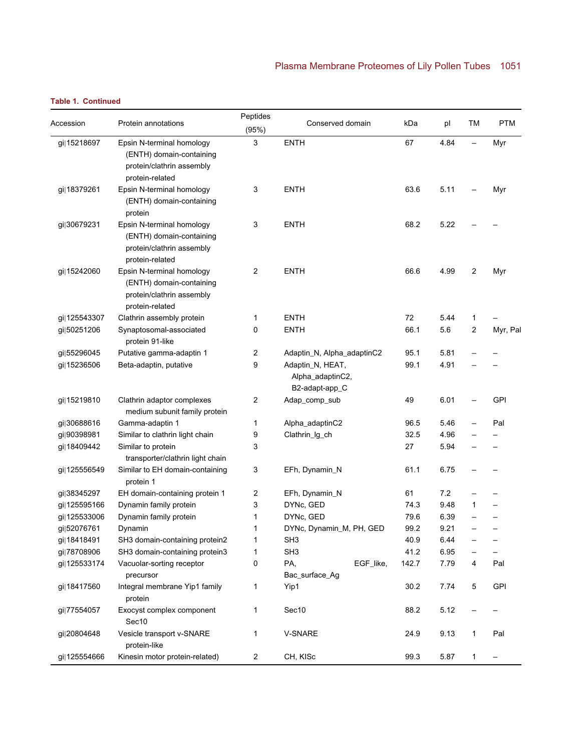| Accession    | Protein annotations                                                                                   | Peptides<br>(95%) | Conserved domain                                       |           | kDa   | pl   | ТM       | <b>PTM</b> |
|--------------|-------------------------------------------------------------------------------------------------------|-------------------|--------------------------------------------------------|-----------|-------|------|----------|------------|
| gi 15218697  | Epsin N-terminal homology<br>(ENTH) domain-containing<br>protein/clathrin assembly<br>protein-related | 3                 | <b>ENTH</b>                                            | 67        | 4.84  |      | Myr      |            |
| gi 18379261  | Epsin N-terminal homology<br>(ENTH) domain-containing<br>protein                                      | 3                 | <b>ENTH</b>                                            | 63.6      | 5.11  |      | Myr      |            |
| gi 30679231  | Epsin N-terminal homology<br>(ENTH) domain-containing<br>protein/clathrin assembly<br>protein-related | 3                 | <b>ENTH</b>                                            | 68.2      | 5.22  |      |          |            |
| gi 15242060  | Epsin N-terminal homology<br>(ENTH) domain-containing<br>protein/clathrin assembly<br>protein-related | 2                 | <b>ENTH</b>                                            |           | 66.6  | 4.99 | 2        | Myr        |
| gi 125543307 | Clathrin assembly protein                                                                             | 1                 | <b>ENTH</b>                                            |           | 72    | 5.44 | 1        |            |
| gi 50251206  | Synaptosomal-associated<br>protein 91-like                                                            | 0                 | <b>ENTH</b>                                            | 66.1      | 5.6   | 2    | Myr, Pal |            |
| gi 55296045  | Putative gamma-adaptin 1                                                                              | 2                 | Adaptin_N, Alpha_adaptinC2                             |           | 95.1  | 5.81 |          |            |
| gi 15236506  | Beta-adaptin, putative                                                                                | 9                 | Adaptin_N, HEAT,<br>Alpha_adaptinC2,<br>B2-adapt-app_C | 99.1      | 4.91  |      |          |            |
| gi 15219810  | Clathrin adaptor complexes<br>medium subunit family protein                                           | 2                 | Adap_comp_sub                                          |           | 49    | 6.01 |          | GPI        |
| gi 30688616  | Gamma-adaptin 1                                                                                       | 1                 | Alpha_adaptinC2                                        |           | 96.5  | 5.46 |          | Pal        |
| gi 90398981  | Similar to clathrin light chain                                                                       | 9                 | Clathrin_lg_ch                                         |           | 32.5  | 4.96 |          |            |
| gi 18409442  | Similar to protein<br>transporter/clathrin light chain                                                | 3                 |                                                        |           | 27    | 5.94 |          |            |
| gi 125556549 | Similar to EH domain-containing<br>protein 1                                                          | 3                 | EFh, Dynamin_N                                         |           | 61.1  | 6.75 |          |            |
| gi 38345297  | EH domain-containing protein 1                                                                        | 2                 | EFh, Dynamin_N                                         |           | 61    | 7.2  |          |            |
| gi 125595166 | Dynamin family protein                                                                                | 3                 | DYNc, GED                                              |           | 74.3  | 9.48 | 1        |            |
| gi 125533006 | Dynamin family protein                                                                                | 1                 | DYNc, GED                                              |           | 79.6  | 6.39 |          |            |
| gi 52076761  | Dynamin                                                                                               | 1                 | DYNc, Dynamin_M, PH, GED                               |           | 99.2  | 9.21 |          |            |
| gi 18418491  | SH3 domain-containing protein2                                                                        | 1                 | SH3                                                    |           | 40.9  | 6.44 |          |            |
| gi 78708906  | SH3 domain-containing protein3                                                                        | 1                 | SH3                                                    |           | 41.2  | 6.95 |          |            |
| gi 125533174 | Vacuolar-sorting receptor<br>precursor                                                                | 0                 | PA,<br>Bac_surface_Ag                                  | EGF_like, | 142.7 | 7.79 | 4        | Pal        |
| gi 18417560  | Integral membrane Yip1 family<br>protein                                                              | 1                 | Yip1                                                   |           | 30.2  | 7.74 | 5        | <b>GPI</b> |
| gi 77554057  | Exocyst complex component<br>Sec10                                                                    | 1                 | Sec10                                                  |           | 88.2  | 5.12 |          |            |
| gi 20804648  | Vesicle transport v-SNARE<br>protein-like                                                             | 1                 | V-SNARE                                                |           | 24.9  | 9.13 | 1        | Pal        |
| gi 125554666 | Kinesin motor protein-related)                                                                        | 2                 | CH, KISc                                               |           | 99.3  | 5.87 | 1        |            |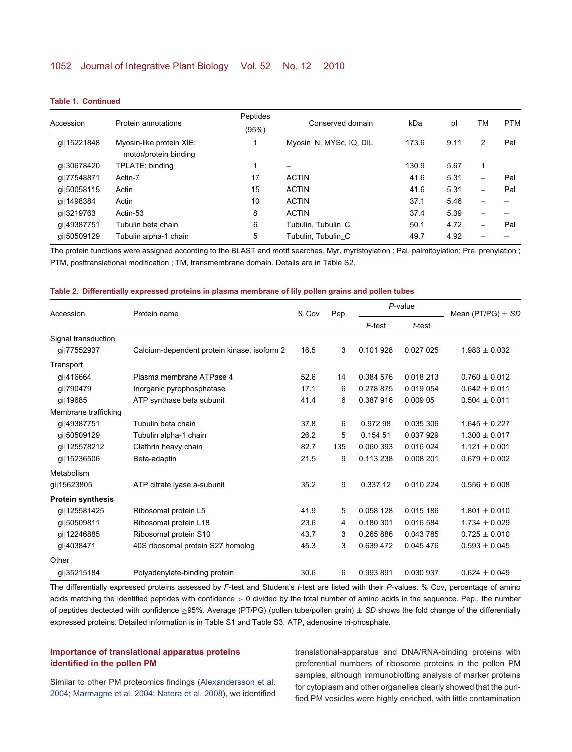| Accession   | Protein annotations<br>Myosin-like protein XIE;<br>motor/protein binding | Peptides<br>(95%) | Conserved domain        | kDa   | pl<br>9.11 | ТM<br>2                  | <b>PTM</b><br>Pal |
|-------------|--------------------------------------------------------------------------|-------------------|-------------------------|-------|------------|--------------------------|-------------------|
| gi 15221848 |                                                                          |                   | Myosin_N, MYSc, IQ, DIL | 173.6 |            |                          |                   |
| qi 30678420 | TPLATE; binding                                                          |                   |                         | 130.9 | 5.67       |                          |                   |
| qil77548871 | Actin-7                                                                  | 17                | <b>ACTIN</b>            | 41.6  | 5.31       |                          | Pal               |
| qil50058115 | Actin                                                                    | 15                | <b>ACTIN</b>            | 41.6  | 5.31       | $\overline{\phantom{0}}$ | Pal               |
| qi 1498384  | Actin                                                                    | 10                | <b>ACTIN</b>            | 37.1  | 5.46       |                          |                   |
| qi 3219763  | Actin-53                                                                 | 8                 | <b>ACTIN</b>            | 37.4  | 5.39       |                          |                   |
| qi 49387751 | Tubulin beta chain                                                       | 6                 | Tubulin, Tubulin C      | 50.1  | 4.72       |                          | Pal               |
| qil50509129 | Tubulin alpha-1 chain                                                    | 5                 | Tubulin, Tubulin C      | 49.7  | 4.92       |                          |                   |

The protein functions were assigned according to the BLAST and motif searches. Myr, myristoylation ; Pal, palmitoylation; Pre, prenylation ; PTM, posttranslational modification ; TM, transmembrane domain. Details are in Table S2.

#### <span id="page-9-0"></span>**Table 2. Differentially expressed proteins in plasma membrane of lily pollen grains and pollen tubes**

| Accession                | Protein name                                | % Cov | Pep. | $P$ -value |           | Mean (PT/PG) $\pm$ SD |  |
|--------------------------|---------------------------------------------|-------|------|------------|-----------|-----------------------|--|
|                          |                                             |       |      | F-test     | t-test    |                       |  |
| Signal transduction      |                                             |       |      |            |           |                       |  |
| qil77552937              | Calcium-dependent protein kinase, isoform 2 | 16.5  | 3    | 0.101928   | 0.027 025 | $1.983 \pm 0.032$     |  |
| Transport                |                                             |       |      |            |           |                       |  |
| gi 416664                | Plasma membrane ATPase 4                    | 52.6  | 14   | 0.384 576  | 0.018 213 | $0.760 \pm 0.012$     |  |
| gi 790479                | Inorganic pyrophosphatase                   | 17.1  | 6    | 0.278 875  | 0.019 054 | $0.642 \pm 0.011$     |  |
| qi 19685                 | ATP synthase beta subunit                   | 41.4  | 6    | 0.387916   | 0.009 05  | $0.504 \pm 0.011$     |  |
| Membrane trafficking     |                                             |       |      |            |           |                       |  |
| gi 49387751              | Tubulin beta chain                          | 37.8  | 6    | 0.97298    | 0.035 306 | $1.645 \pm 0.227$     |  |
| qi 50509129              | Tubulin alpha-1 chain                       | 26.2  | 5    | 0.154 51   | 0.037929  | $1.300 \pm 0.017$     |  |
| qil125578212             | Clathrin heavy chain                        | 82.7  | 135  | 0.060 393  | 0.016 024 | $1.121 \pm 0.001$     |  |
| qi 15236506              | Beta-adaptin                                | 21.5  | 9    | 0.113 238  | 0.008 201 | $0.679 \pm 0.002$     |  |
| Metabolism               |                                             |       |      |            |           |                       |  |
| gi 15623805              | ATP citrate Iyase a-subunit                 | 35.2  | 9    | 0.337 12   | 0.010 224 | $0.556 \pm 0.008$     |  |
| <b>Protein synthesis</b> |                                             |       |      |            |           |                       |  |
| gi 125581425             | Ribosomal protein L5                        | 41.9  | 5    | 0.058 128  | 0.015 186 | $1.801 \pm 0.010$     |  |
| gi 50509811              | Ribosomal protein L18                       | 23.6  | 4    | 0.180 301  | 0.016 584 | $1.734 \pm 0.029$     |  |
| gi 12246885              | Ribosomal protein S10                       | 43.7  | 3    | 0.265 886  | 0.043785  | $0.725 \pm 0.010$     |  |
| qi 4038471               | 40S ribosomal protein S27 homolog           | 45.3  | 3    | 0.639 472  | 0.045 476 | $0.593 \pm 0.045$     |  |
| Other                    |                                             |       |      |            |           |                       |  |
| gi 35215184              | Polyadenylate-binding protein               | 30.6  | 6    | 0.993 891  | 0.030 937 | $0.624 + 0.049$       |  |

The differentially expressed proteins assessed by *F*-test and Student's *t*-test are listed with their *P*-values. % Cov, percentage of amino acids matching the identified peptides with confidence  $> 0$  divided by the total number of amino acids in the sequence. Pep., the number of peptides dectected with confidence ≥95%. Average (PT/PG) (pollen tube/pollen grain) ± *SD* shows the fold change of the differentially expressed proteins. Detailed information is in Table S1 and Table S3. ATP, adenosine tri-phosphate.

## **Importance of translational apparatus proteins identified in the pollen PM**

Similar to other PM proteomics findings [\(Alexandersson et al.](#page-13-4) [2004;](#page-13-4) [Marmagne et al. 2004;](#page-14-13) [Natera et al. 2008\)](#page-14-15), we identified translational-apparatus and DNA/RNA-binding proteins with preferential numbers of ribosome proteins in the pollen PM samples, although immunoblotting analysis of marker proteins for cytoplasm and other organelles clearly showed that the purified PM vesicles were highly enriched, with little contamination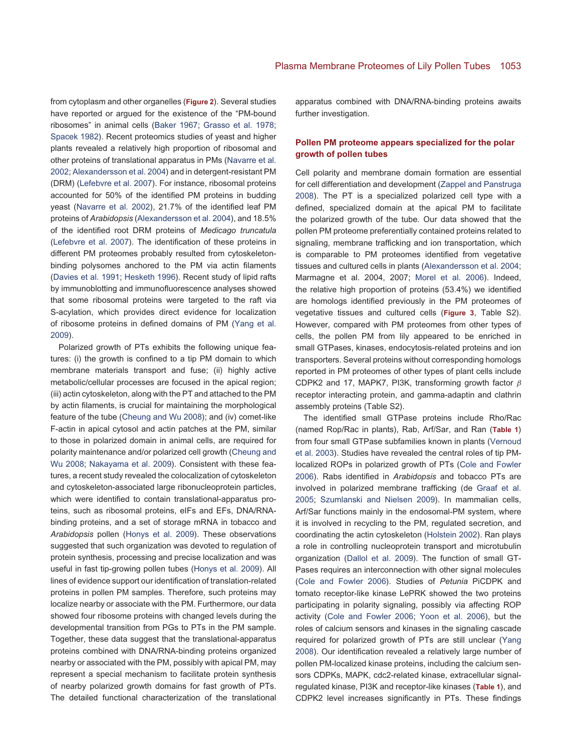from cytoplasm and other organelles (**[Figure 2](#page-2-1)**). Several studies have reported or argued for the existence of the "PM-bound ribosomes" in animal cells [\(Baker 1967;](#page-13-7) [Grasso et al. 1978;](#page-13-8) [Spacek 1982\)](#page-15-7). Recent proteomics studies of yeast and higher plants revealed a relatively high proportion of ribosomal and other proteins of translational apparatus in PMs [\(Navarre et al.](#page-14-16) [2002;](#page-14-16) [Alexandersson et al. 2004\)](#page-13-4) and in detergent-resistant PM (DRM) [\(Lefebvre et al. 2007\)](#page-14-17). For instance, ribosomal proteins accounted for 50% of the identified PM proteins in budding yeast [\(Navarre et al. 2002\)](#page-14-16), 21.7% of the identified leaf PM proteins of *Arabidopsis* [\(Alexandersson et al. 2004\)](#page-13-4), and 18.5% of the identified root DRM proteins of *Medicago truncatula* [\(Lefebvre et al. 2007\)](#page-14-17). The identification of these proteins in different PM proteomes probably resulted from cytoskeletonbinding polysomes anchored to the PM via actin filaments [\(Davies et al. 1991;](#page-13-9) [Hesketh 1996\)](#page-14-18). Recent study of lipid rafts by immunoblotting and immunofluorescence analyses showed that some ribosomal proteins were targeted to the raft via S-acylation, which provides direct evidence for localization of ribosome proteins in defined domains of PM [\(Yang et al.](#page-15-8) [2009\)](#page-15-8).

Polarized growth of PTs exhibits the following unique features: (i) the growth is confined to a tip PM domain to which membrane materials transport and fuse; (ii) highly active metabolic/cellular processes are focused in the apical region; (iii) actin cytoskeleton, along with the PT and attached to the PM by actin filaments, is crucial for maintaining the morphological feature of the tube [\(Cheung and Wu 2008\)](#page-13-0); and (iv) comet-like F-actin in apical cytosol and actin patches at the PM, similar to those in polarized domain in animal cells, are required for polarity maintenance and/or polarized cell growth [\(Cheung and](#page-13-0) [Wu 2008;](#page-13-0) [Nakayama et al. 2009\)](#page-14-19). Consistent with these features, a recent study revealed the colocalization of cytoskeleton and cytoskeleton-associated large ribonucleoprotein particles, which were identified to contain translational-apparatus proteins, such as ribosomal proteins, eIFs and EFs, DNA/RNAbinding proteins, and a set of storage mRNA in tobacco and *Arabidopsis* pollen [\(Honys et al. 2009\)](#page-14-6). These observations suggested that such organization was devoted to regulation of protein synthesis, processing and precise localization and was useful in fast tip-growing pollen tubes [\(Honys et al. 2009\)](#page-14-6). All lines of evidence support our identification of translation-related proteins in pollen PM samples. Therefore, such proteins may localize nearby or associate with the PM. Furthermore, our data showed four ribosome proteins with changed levels during the developmental transition from PGs to PTs in the PM sample. Together, these data suggest that the translational-apparatus proteins combined with DNA/RNA-binding proteins organized nearby or associated with the PM, possibly with apical PM, may represent a special mechanism to facilitate protein synthesis of nearby polarized growth domains for fast growth of PTs. The detailed functional characterization of the translational

apparatus combined with DNA/RNA-binding proteins awaits further investigation.

## **Pollen PM proteome appears specialized for the polar growth of pollen tubes**

Cell polarity and membrane domain formation are essential for cell differentiation and development [\(Zappel and Panstruga](#page-15-9) [2008\)](#page-15-9). The PT is a specialized polarized cell type with a defined, specialized domain at the apical PM to facilitate the polarized growth of the tube. Our data showed that the pollen PM proteome preferentially contained proteins related to signaling, membrane trafficking and ion transportation, which is comparable to PM proteomes identified from vegetative tissues and cultured cells in plants [\(Alexandersson et al. 2004;](#page-13-4) Marmagne et al. 2004, 2007; [Morel et al. 2006\)](#page-14-12). Indeed, the relative high proportion of proteins (53.4%) we identified are homologs identified previously in the PM proteomes of vegetative tissues and cultured cells (**[Figure 3](#page-3-0)**, Table S2). However, compared with PM proteomes from other types of cells, the pollen PM from lily appeared to be enriched in small GTPases, kinases, endocytosis-related proteins and ion transporters. Several proteins without corresponding homologs reported in PM proteomes of other types of plant cells include CDPK2 and 17, MAPK7, PI3K, transforming growth factor  $\beta$ receptor interacting protein, and gamma-adaptin and clathrin assembly proteins (Table S2).

The identified small GTPase proteins include Rho/Rac (named Rop/Rac in plants), Rab, Arf/Sar, and Ran (**[Table 1](#page-5-0)**) from four small GTPase subfamilies known in plants [\(Vernoud](#page-15-10) [et al. 2003\)](#page-15-10). Studies have revealed the central roles of tip PMlocalized ROPs in polarized growth of PTs [\(Cole and Fowler](#page-13-1) [2006\)](#page-13-1). Rabs identified in *Arabidopsis* and tobacco PTs are involved in polarized membrane trafficking (de [Graaf et al.](#page-13-10) [2005;](#page-13-10) [Szumlanski and Nielsen 2009\)](#page-15-11). In mammalian cells, Arf/Sar functions mainly in the endosomal-PM system, where it is involved in recycling to the PM, regulated secretion, and coordinating the actin cytoskeleton [\(Holstein 2002\)](#page-14-20). Ran plays a role in controlling nucleoprotein transport and microtubulin organization [\(Dallol et al. 2009\)](#page-13-11). The function of small GT-Pases requires an interconnection with other signal molecules [\(Cole and Fowler 2006\)](#page-13-1). Studies of *Petunia* PiCDPK and tomato receptor-like kinase LePRK showed the two proteins participating in polarity signaling, possibly via affecting ROP activity [\(Cole and Fowler 2006;](#page-13-1) [Yoon et al. 2006\)](#page-15-1), but the roles of calcium sensors and kinases in the signaling cascade required for polarized growth of PTs are still unclear [\(Yang](#page-15-0) [2008\)](#page-15-0). Our identification revealed a relatively large number of pollen PM-localized kinase proteins, including the calcium sensors CDPKs, MAPK, cdc2-related kinase, extracellular signalregulated kinase, PI3K and receptor-like kinases (**[Table 1](#page-5-0)**), and CDPK2 level increases significantly in PTs. These findings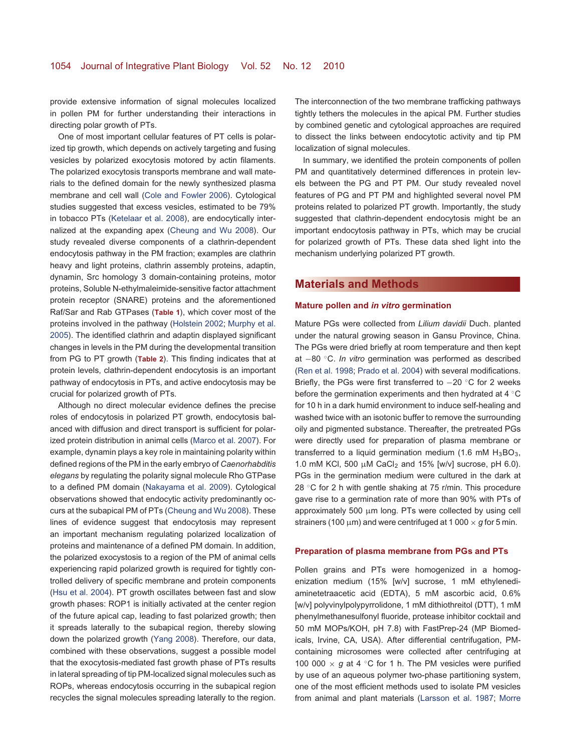provide extensive information of signal molecules localized in pollen PM for further understanding their interactions in directing polar growth of PTs.

One of most important cellular features of PT cells is polarized tip growth, which depends on actively targeting and fusing vesicles by polarized exocytosis motored by actin filaments. The polarized exocytosis transports membrane and wall materials to the defined domain for the newly synthesized plasma membrane and cell wall [\(Cole and Fowler 2006\)](#page-13-1). Cytological studies suggested that excess vesicles, estimated to be 79% in tobacco PTs [\(Ketelaar et al. 2008\)](#page-14-21), are endocytically internalized at the expanding apex [\(Cheung and Wu 2008\)](#page-13-0). Our study revealed diverse components of a clathrin-dependent endocytosis pathway in the PM fraction; examples are clathrin heavy and light proteins, clathrin assembly proteins, adaptin, dynamin, Src homology 3 domain-containing proteins, motor proteins, Soluble N-ethylmaleimide-sensitive factor attachment protein receptor (SNARE) proteins and the aforementioned Raf/Sar and Rab GTPases (**[Table 1](#page-5-0)**), which cover most of the proteins involved in the pathway [\(Holstein 2002;](#page-14-20) [Murphy et al.](#page-14-22) [2005\)](#page-14-22). The identified clathrin and adaptin displayed significant changes in levels in the PM during the developmental transition from PG to PT growth (**[Table 2](#page-9-0)**). This finding indicates that at protein levels, clathrin-dependent endocytosis is an important pathway of endocytosis in PTs, and active endocytosis may be crucial for polarized growth of PTs.

Although no direct molecular evidence defines the precise roles of endocytosis in polarized PT growth, endocytosis balanced with diffusion and direct transport is sufficient for polarized protein distribution in animal cells [\(Marco et al. 2007\)](#page-14-23). For example, dynamin plays a key role in maintaining polarity within defined regions of the PM in the early embryo of *Caenorhabditis elegans* by regulating the polarity signal molecule Rho GTPase to a defined PM domain [\(Nakayama et al. 2009\)](#page-14-19). Cytological observations showed that endocytic activity predominantly occurs at the subapical PM of PTs [\(Cheung and Wu 2008\)](#page-13-0). These lines of evidence suggest that endocytosis may represent an important mechanism regulating polarized localization of proteins and maintenance of a defined PM domain. In addition, the polarized exocystosis to a region of the PM of animal cells experiencing rapid polarized growth is required for tightly controlled delivery of specific membrane and protein components [\(Hsu et al. 2004\)](#page-14-24). PT growth oscillates between fast and slow growth phases: ROP1 is initially activated at the center region of the future apical cap, leading to fast polarized growth; then it spreads laterally to the subapical region, thereby slowing down the polarized growth [\(Yang 2008\)](#page-15-0). Therefore, our data, combined with these observations, suggest a possible model that the exocytosis-mediated fast growth phase of PTs results in lateral spreading of tip PM-localized signal molecules such as ROPs, whereas endocytosis occurring in the subapical region recycles the signal molecules spreading laterally to the region.

The interconnection of the two membrane trafficking pathways tightly tethers the molecules in the apical PM. Further studies by combined genetic and cytological approaches are required to dissect the links between endocytotic activity and tip PM localization of signal molecules.

In summary, we identified the protein components of pollen PM and quantitatively determined differences in protein levels between the PG and PT PM. Our study revealed novel features of PG and PT PM and highlighted several novel PM proteins related to polarized PT growth. Importantly, the study suggested that clathrin-dependent endocytosis might be an important endocytosis pathway in PTs, which may be crucial for polarized growth of PTs. These data shed light into the mechanism underlying polarized PT growth.

## **[Materials and Methods](/app/teTeX/techbooks/blackwell/jipb/Head.eps)**

#### **Mature pollen and** *in vitro* **germination**

Mature PGs were collected from *Lilium davidii* Duch. planted under the natural growing season in Gansu Province, China. The PGs were dried briefly at room temperature and then kept at −80 ◦C. *In vitro* germination was performed as described [\(Ren et al. 1998;](#page-15-12) [Prado et al. 2004\)](#page-14-25) with several modifications. Briefly, the PGs were first transferred to −20 ◦C for 2 weeks before the germination experiments and then hydrated at 4 ◦C for 10 h in a dark humid environment to induce self-healing and washed twice with an isotonic buffer to remove the surrounding oily and pigmented substance. Thereafter, the pretreated PGs were directly used for preparation of plasma membrane or transferred to a liquid germination medium (1.6 mM  $H_3BO_3$ , 1.0 mM KCl, 500  $\mu$ M CaCl<sub>2</sub> and 15% [w/v] sucrose, pH 6.0). PGs in the germination medium were cultured in the dark at 28 °C for 2 h with gentle shaking at 75 r/min. This procedure gave rise to a germination rate of more than 90% with PTs of approximately 500  $\mu$ m long. PTs were collected by using cell strainers (100  $\mu$ m) and were centrifuged at 1 000  $\times$  *g* for 5 min.

#### **Preparation of plasma membrane from PGs and PTs**

Pollen grains and PTs were homogenized in a homogenization medium (15% [w/v] sucrose, 1 mM ethylenediaminetetraacetic acid (EDTA), 5 mM ascorbic acid, 0.6% [w/v] polyvinylpolypyrrolidone, 1 mM dithiothreitol (DTT), 1 mM phenylmethanesulfonyl fluoride, protease inhibitor cocktail and 50 mM MOPs/KOH, pH 7.8) with FastPrep-24 (MP Biomedicals, Irvine, CA, USA). After differential centrifugation, PMcontaining microsomes were collected after centrifuging at 100 000  $\times$  *g* at 4  $\circ$ C for 1 h. The PM vesicles were purified by use of an aqueous polymer two-phase partitioning system, one of the most efficient methods used to isolate PM vesicles from animal and plant materials [\(Larsson et al. 1987;](#page-14-26) Morre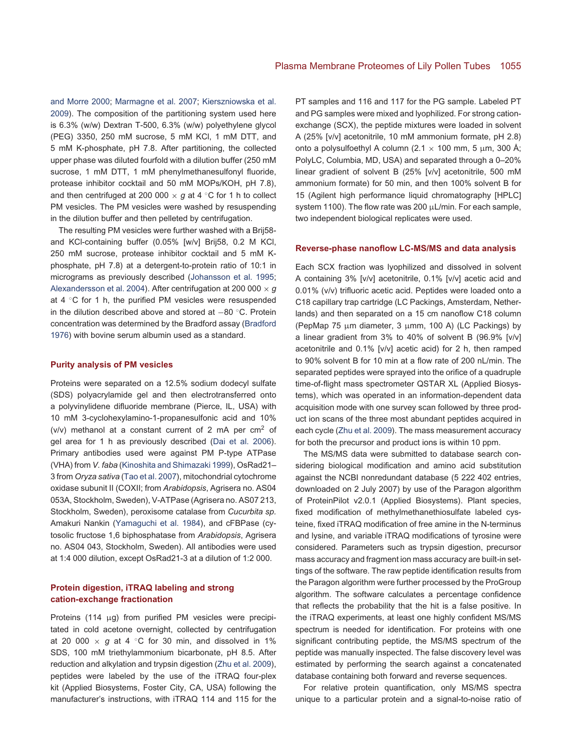and Morre 2000; [Marmagne et al. 2007;](#page-14-14) [Kierszniowska et al.](#page-14-27) [2009\)](#page-14-27). The composition of the partitioning system used here is 6.3% (w/w) Dextran T-500, 6.3% (w/w) polyethylene glycol (PEG) 3350, 250 mM sucrose, 5 mM KCl, 1 mM DTT, and 5 mM K-phosphate, pH 7.8. After partitioning, the collected upper phase was diluted fourfold with a dilution buffer (250 mM sucrose, 1 mM DTT, 1 mM phenylmethanesulfonyl fluoride, protease inhibitor cocktail and 50 mM MOPs/KOH, pH 7.8), and then centrifuged at 200 000  $\times$  *g* at 4  $\degree$ C for 1 h to collect PM vesicles. The PM vesicles were washed by resuspending in the dilution buffer and then pelleted by centrifugation.

The resulting PM vesicles were further washed with a Brij58 and KCl-containing buffer (0.05% [w/v] Brij58, 0.2 M KCl, 250 mM sucrose, protease inhibitor cocktail and 5 mM Kphosphate, pH 7.8) at a detergent-to-protein ratio of 10:1 in micrograms as previously described [\(Johansson et al. 1995;](#page-14-11) [Alexandersson et al. 2004\)](#page-13-4). After centrifugation at 200 000 × *g* at 4 ◦C for 1 h, the purified PM vesicles were resuspended in the dilution described above and stored at −80 ◦C. Protein concentration was determined by the Bradford assay [\(Bradford](#page-13-12) [1976\)](#page-13-12) with bovine serum albumin used as a standard.

#### **Purity analysis of PM vesicles**

Proteins were separated on a 12.5% sodium dodecyl sulfate (SDS) polyacrylamide gel and then electrotransferred onto a polyvinylidene difluoride membrane (Pierce, IL, USA) with 10 mM 3-cyclohexylamino-1-propanesulfonic acid and 10% ( $v/v$ ) methanol at a constant current of 2 mA per  $cm<sup>2</sup>$  of gel area for 1 h as previously described [\(Dai et al. 2006\)](#page-13-13). Primary antibodies used were against PM P-type ATPase (VHA) from *V. faba* [\(Kinoshita and Shimazaki 1999\)](#page-14-28), OsRad21– 3 from *Oryza sativa* [\(Tao et al. 2007\)](#page-15-13), mitochondrial cytochrome oxidase subunit II (COXII; from *Arabidopsis*, Agrisera no. AS04 053A, Stockholm, Sweden), V-ATPase (Agrisera no. AS07 213, Stockholm, Sweden), peroxisome catalase from *Cucurbita sp.* Amakuri Nankin [\(Yamaguchi et al. 1984\)](#page-15-14), and cFBPase (cytosolic fructose 1,6 biphosphatase from *Arabidopsis*, Agrisera no. AS04 043, Stockholm, Sweden). All antibodies were used at 1:4 000 dilution, except OsRad21-3 at a dilution of 1:2 000.

## **Protein digestion, iTRAQ labeling and strong cation-exchange fractionation**

Proteins (114 µg) from purified PM vesicles were precipitated in cold acetone overnight, collected by centrifugation at 20 000  $\times$  *g* at 4  $\degree$ C for 30 min, and dissolved in 1% SDS, 100 mM triethylammonium bicarbonate, pH 8.5. After reduction and alkylation and trypsin digestion [\(Zhu et al. 2009\)](#page-15-15), peptides were labeled by the use of the iTRAQ four-plex kit (Applied Biosystems, Foster City, CA, USA) following the manufacturer's instructions, with iTRAQ 114 and 115 for the

PT samples and 116 and 117 for the PG sample. Labeled PT and PG samples were mixed and lyophilized. For strong cationexchange (SCX), the peptide mixtures were loaded in solvent A (25% [v/v] acetonitrile, 10 mM ammonium formate, pH 2.8) onto a polysulfoethyl A column (2.1  $\times$  100 mm, 5 µm, 300 Å; PolyLC, Columbia, MD, USA) and separated through a 0–20% linear gradient of solvent B (25% [v/v] acetonitrile, 500 mM ammonium formate) for 50 min, and then 100% solvent B for 15 (Agilent high performance liquid chromatography [HPLC] system 1100). The flow rate was 200 µL/min. For each sample, two independent biological replicates were used.

#### **Reverse-phase nanoflow LC-MS/MS and data analysis**

Each SCX fraction was lyophilized and dissolved in solvent A containing 3% [v/v] acetonitrile, 0.1% [v/v] acetic acid and 0.01% (v/v) trifluoric acetic acid. Peptides were loaded onto a C18 capillary trap cartridge (LC Packings, Amsterdam, Netherlands) and then separated on a 15 cm nanoflow C18 column (PepMap 75  $\mu$ m diameter, 3  $\mu$ mm, 100 A) (LC Packings) by a linear gradient from 3% to 40% of solvent B (96.9% [v/v] acetonitrile and 0.1% [v/v] acetic acid) for 2 h, then ramped to 90% solvent B for 10 min at a flow rate of 200 nL/min. The separated peptides were sprayed into the orifice of a quadruple time-of-flight mass spectrometer QSTAR XL (Applied Biosystems), which was operated in an information-dependent data acquisition mode with one survey scan followed by three product ion scans of the three most abundant peptides acquired in each cycle [\(Zhu et al. 2009\)](#page-15-15). The mass measurement accuracy for both the precursor and product ions is within 10 ppm.

The MS/MS data were submitted to database search considering biological modification and amino acid substitution against the NCBI nonredundant database (5 222 402 entries, downloaded on 2 July 2007) by use of the Paragon algorithm of ProteinPilot v2.0.1 (Applied Biosystems). Plant species, fixed modification of methylmethanethiosulfate labeled cysteine, fixed iTRAQ modification of free amine in the N-terminus and lysine, and variable iTRAQ modifications of tyrosine were considered. Parameters such as trypsin digestion, precursor mass accuracy and fragment ion mass accuracy are built-in settings of the software. The raw peptide identification results from the Paragon algorithm were further processed by the ProGroup algorithm. The software calculates a percentage confidence that reflects the probability that the hit is a false positive. In the iTRAQ experiments, at least one highly confident MS/MS spectrum is needed for identification. For proteins with one significant contributing peptide, the MS/MS spectrum of the peptide was manually inspected. The false discovery level was estimated by performing the search against a concatenated database containing both forward and reverse sequences.

For relative protein quantification, only MS/MS spectra unique to a particular protein and a signal-to-noise ratio of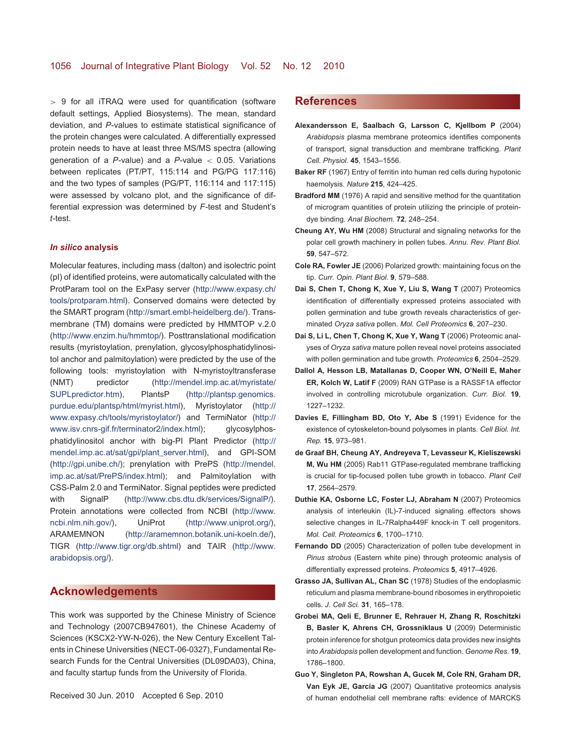> 9 for all iTRAQ were used for quantification (software default settings, Applied Biosystems). The mean, standard deviation, and *P*-values to estimate statistical significance of the protein changes were calculated. A differentially expressed protein needs to have at least three MS/MS spectra (allowing generation of a *P*-value) and a *P*-value < 0.05. Variations between replicates (PT/PT, 115:114 and PG/PG 117:116) and the two types of samples (PG/PT, 116:114 and 117:115) were assessed by volcano plot, and the significance of differential expression was determined by *F*-test and Student's *t*-test.

#### *In silico* **analysis**

Molecular features, including mass (dalton) and isolectric point (pI) of identified proteins, were automatically calculated with the ProtParam tool on the ExPasy server [\(http://www.expasy.ch/](http://www.expasy.ch/) [tools/protparam.html\)](file:tools/protparam.html). Conserved domains were detected by the SMART program [\(http://smart.embl-heidelberg.de/\)](http://smart.embl-heidelberg.de/). Transmembrane (TM) domains were predicted by HMMTOP v.2.0 [\(http://](http://)[www.enzim.hu/hmmtop/\)](#page-0-0). Posttranslational modification results (myristoylation, prenylation, glycosylphosphatidylinositol anchor and palmitoylation) were predicted by the use of the following tools: myristoylation with N-myristoyltransferase (NMT) predictor [\(http://mendel.imp.ac.at/myristate/](http://mendel.imp.ac.at/myristate/) [SUPLpredictor.htm\)](file:SUPLpredictor.htm), PlantsP [\(http://plantsp.genomics.](http://plantsp.genomics.) [purdue.edu/plantsp/html/myrist.html\)](file:purdue.edu/plantsp/html/myrist.html), Myristoylator [\(http://](http://) [www.expasy.ch/tools/myristoylator/\)](#page-0-0) and TermiNator [\(http://](http://) [www.isv.cnrs-gif.fr/terminator2/index.html\)](file:www.isv.cnrs-gif.fr/terminator2/index.html); glycosylphosphatidylinositol anchor with big-PI Plant Predictor [\(http://](http://) [mendel.imp.ac.at/sat/gpi/plant\\_server.html\)](file:mendel.imp.ac.at/sat/gpi/plant_server.html), and GPI-SOM [\(http://gpi.unibe.ch/\)](http://gpi.unibe.ch/); prenylation with PrePS [\(http://mendel.](http://mendel.) [imp.ac.at/sat/PrePS/index.html\)](file:imp.ac.at/sat/PrePS/index.html); and Palmitoylation with CSS-Palm 2.0 and TermiNator. Signal peptides were predicted with SignalP [\(http://www.cbs.dtu.dk/services/SignalP/\)](http://www.cbs.dtu.dk/services/SignalP/). Protein annotations were collected from NCBI [\(http://www.](http://www.) [ncbi.nlm.nih.gov/\)](#page-0-0), UniProt [\(http://www.uniprot.org/\)](http://www.uniprot.org/), ARAMEMNON [\(http://aramemnon.botanik.uni-koeln.de/\)](http://aramemnon.botanik.uni-koeln.de/), TIGR [\(http://www.tigr.org/db.shtml\)](http://www.tigr.org/db.shtml) and TAIR [\(http://www.](http://www.) [arabidopsis.org/\)](#page-0-0).

## **[Acknowledgements](/app/teTeX/techbooks/blackwell/jipb/Head.eps)**

This work was supported by the Chinese Ministry of Science and Technology (2007CB947601), the Chinese Academy of Sciences (KSCX2-YW-N-026), the New Century Excellent Talents in Chinese Universities (NECT-06-0327), Fundamental Research Funds for the Central Universities (DL09DA03), China, and faculty startup funds from the University of Florida.

## **[References](/app/teTeX/techbooks/blackwell/jipb/Head.eps)**

- <span id="page-13-4"></span>**Alexandersson E, Saalbach G, Larsson C, Kjellbom P** (2004) *Arabidopsis* plasma membrane proteomics identifies components of transport, signal transduction and membrane trafficking. *Plant Cell. Physiol.* **45**, 1543–1556.
- <span id="page-13-7"></span>**Baker RF** (1967) Entry of ferritin into human red cells during hypotonic haemolysis. *Nature* **215**, 424–425.
- <span id="page-13-12"></span>**Bradford MM** (1976) A rapid and sensitive method for the quantitation of microgram quantities of protein utilizing the principle of proteindye binding. *Anal Biochem.* **72**, 248–254.
- <span id="page-13-0"></span>**Cheung AY, Wu HM** (2008) Structural and signaling networks for the polar cell growth machinery in pollen tubes. *Annu. Rev. Plant Biol.* **59**, 547–572.
- <span id="page-13-1"></span>**Cole RA, Fowler JE** (2006) Polarized growth: maintaining focus on the tip. *Curr. Opin. Plant Biol.* **9**, 579–588.
- **Dai S, Chen T, Chong K, Xue Y, Liu S, Wang T** (2007) Proteomics identification of differentially expressed proteins associated with pollen germination and tube growth reveals characteristics of germinated *Oryza sativa* pollen. *Mol. Cell Proteomics* **6**, 207–230.
- <span id="page-13-13"></span>**Dai S, Li L, Chen T, Chong K, Xue Y, Wang T** (2006) Proteomic analyses of *Oryza sativa* mature pollen reveal novel proteins associated with pollen germination and tube growth. *Proteomics* **6**, 2504–2529.
- <span id="page-13-11"></span>**Dallol A, Hesson LB, Matallanas D, Cooper WN, O'Neill E, Maher ER, Kolch W, Latif F** (2009) RAN GTPase is a RASSF1A effector involved in controlling microtubule organization. *Curr. Biol.* **19**, 1227–1232.
- <span id="page-13-9"></span>**Davies E, Fillingham BD, Oto Y, Abe S** (1991) Evidence for the existence of cytoskeleton-bound polysomes in plants. *Cell Biol. Int. Rep.* **15**, 973–981.
- <span id="page-13-10"></span>**de Graaf BH, Cheung AY, Andreyeva T, Levasseur K, Kieliszewski M, Wu HM** (2005) Rab11 GTPase-regulated membrane trafficking is crucial for tip-focused pollen tube growth in tobacco. *Plant Cell* **17**, 2564–2579.
- <span id="page-13-5"></span>**Duthie KA, Osborne LC, Foster LJ, Abraham N** (2007) Proteomics analysis of interleukin (IL)-7-induced signaling effectors shows selective changes in IL-7Ralpha449F knock-in T cell progenitors. *Mol. Cell. Proteomics* **6**, 1700–1710.
- <span id="page-13-2"></span>**Fernando DD** (2005) Characterization of pollen tube development in *Pinus strobus* (Eastern white pine) through proteomic analysis of differentially expressed proteins. *Proteomics* **5**, 4917–4926.
- <span id="page-13-8"></span>**Grasso JA, Sullivan AL, Chan SC** (1978) Studies of the endoplasmic reticulum and plasma membrane-bound ribosomes in erythropoietic cells. *J. Cell Sci.* **31**, 165–178.
- <span id="page-13-3"></span>**Grobei MA, Qeli E, Brunner E, Rehrauer H, Zhang R, Roschitzki B, Basler K, Ahrens CH, Grossniklaus U** (2009) Deterministic protein inference for shotgun proteomics data provides new insights into *Arabidopsis* pollen development and function. *Genome Res.* **19**, 1786–1800.
- <span id="page-13-6"></span>**Guo Y, Singleton PA, Rowshan A, Gucek M, Cole RN, Graham DR, Van Eyk JE, Garcia JG** (2007) Quantitative proteomics analysis of human endothelial cell membrane rafts: evidence of MARCKS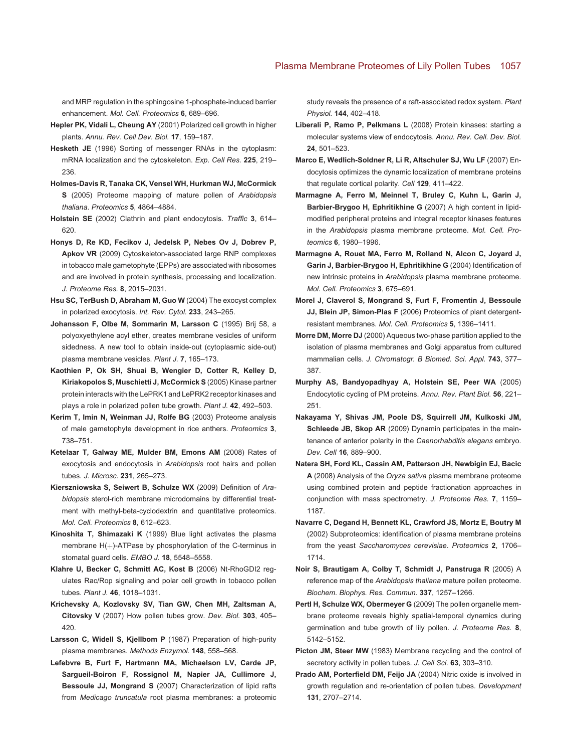and MRP regulation in the sphingosine 1-phosphate-induced barrier enhancement. *Mol. Cell. Proteomics* **6**, 689–696.

- <span id="page-14-0"></span>**Hepler PK, Vidali L, Cheung AY** (2001) Polarized cell growth in higher plants. *Annu. Rev. Cell Dev. Biol.* **17**, 159–187.
- <span id="page-14-18"></span>**Hesketh JE** (1996) Sorting of messenger RNAs in the cytoplasm: mRNA localization and the cytoskeleton. *Exp. Cell Res.* **225**, 219– 236.
- <span id="page-14-9"></span>**Holmes-Davis R, Tanaka CK, Vensel WH, Hurkman WJ, McCormick S** (2005) Proteome mapping of mature pollen of *Arabidopsis thaliana*. *Proteomics* **5**, 4864–4884.
- <span id="page-14-20"></span>**Holstein SE** (2002) Clathrin and plant endocytosis. *Traffic* **3**, 614– 620.
- <span id="page-14-6"></span>**Honys D, Re KD, Fecikov J, Jedelsk P, Nebes Ov J, Dobrev P, Apkov VR** (2009) Cytoskeleton-associated large RNP complexes in tobacco male gametophyte (EPPs) are associated with ribosomes and are involved in protein synthesis, processing and localization. *J. Proteome Res.* **8**, 2015–2031.
- <span id="page-14-24"></span>**Hsu SC, TerBush D, Abraham M, Guo W** (2004) The exocyst complex in polarized exocytosis. *Int. Rev. Cytol.* **233**, 243–265.
- <span id="page-14-11"></span>**Johansson F, Olbe M, Sommarin M, Larsson C** (1995) Brij 58, a polyoxyethylene acyl ether, creates membrane vesicles of uniform sidedness. A new tool to obtain inside-out (cytoplasmic side-out) plasma membrane vesicles. *Plant J.* **7**, 165–173.
- <span id="page-14-2"></span>**Kaothien P, Ok SH, Shuai B, Wengier D, Cotter R, Kelley D, Kiriakopolos S, Muschietti J, McCormick S** (2005) Kinase partner protein interacts with the LePRK1 and LePRK2 receptor kinases and plays a role in polarized pollen tube growth. *Plant J.* **42**, 492–503.
- <span id="page-14-8"></span>**Kerim T, Imin N, Weinman JJ, Rolfe BG** (2003) Proteome analysis of male gametophyte development in rice anthers. *Proteomics* **3**, 738–751.
- <span id="page-14-21"></span>**Ketelaar T, Galway ME, Mulder BM, Emons AM** (2008) Rates of exocytosis and endocytosis in *Arabidopsis* root hairs and pollen tubes. *J. Microsc.* **231**, 265–273.
- <span id="page-14-27"></span>**Kierszniowska S, Seiwert B, Schulze WX** (2009) Definition of *Arabidopsis* sterol-rich membrane microdomains by differential treatment with methyl-beta-cyclodextrin and quantitative proteomics. *Mol. Cell. Proteomics* **8**, 612–623.
- <span id="page-14-28"></span>**Kinoshita T, Shimazaki K** (1999) Blue light activates the plasma membrane  $H(+)$ -ATPase by phosphorylation of the C-terminus in stomatal guard cells. *EMBO J.* **18**, 5548–5558.
- <span id="page-14-3"></span>**Klahre U, Becker C, Schmitt AC, Kost B** (2006) Nt-RhoGDI2 regulates Rac/Rop signaling and polar cell growth in tobacco pollen tubes. *Plant J.* **46**, 1018–1031.
- <span id="page-14-1"></span>**Krichevsky A, Kozlovsky SV, Tian GW, Chen MH, Zaltsman A, Citovsky V** (2007) How pollen tubes grow. *Dev. Biol.* **303**, 405– 420.
- <span id="page-14-26"></span>**Larsson C, Widell S, Kjellbom P** (1987) Preparation of high-purity plasma membranes. *Methods Enzymol.* **148**, 558–568.
- <span id="page-14-17"></span>**Lefebvre B, Furt F, Hartmann MA, Michaelson LV, Carde JP, Sargueil-Boiron F, Rossignol M, Napier JA, Cullimore J, Bessoule JJ, Mongrand S** (2007) Characterization of lipid rafts from *Medicago truncatula* root plasma membranes: a proteomic

study reveals the presence of a raft-associated redox system. *Plant Physiol.* **144**, 402–418.

- <span id="page-14-5"></span>**Liberali P, Ramo P, Pelkmans L** (2008) Protein kinases: starting a molecular systems view of endocytosis. *Annu. Rev. Cell. Dev. Biol.* **24**, 501–523.
- <span id="page-14-23"></span>**Marco E, Wedlich-Soldner R, Li R, Altschuler SJ, Wu LF** (2007) Endocytosis optimizes the dynamic localization of membrane proteins that regulate cortical polarity. *Cell* **129**, 411–422.
- <span id="page-14-14"></span>**Marmagne A, Ferro M, Meinnel T, Bruley C, Kuhn L, Garin J, Barbier-Brygoo H, Ephritikhine G** (2007) A high content in lipidmodified peripheral proteins and integral receptor kinases features in the *Arabidopsis* plasma membrane proteome. *Mol. Cell. Proteomics* **6**, 1980–1996.
- <span id="page-14-13"></span>**Marmagne A, Rouet MA, Ferro M, Rolland N, Alcon C, Joyard J, Garin J, Barbier-Brygoo H, Ephritikhine G** (2004) Identification of new intrinsic proteins in *Arabidopsis* plasma membrane proteome. *Mol. Cell. Proteomics* **3**, 675–691.
- <span id="page-14-12"></span>**Morel J, Claverol S, Mongrand S, Furt F, Fromentin J, Bessoule JJ, Blein JP, Simon-Plas F** (2006) Proteomics of plant detergentresistant membranes. *Mol. Cell. Proteomics* **5**, 1396–1411.
- **Morre DM, Morre DJ** (2000) Aqueous two-phase partition applied to the isolation of plasma membranes and Golgi apparatus from cultured mammalian cells. *J. Chromatogr. B Biomed. Sci. Appl.* **743**, 377– 387.
- <span id="page-14-22"></span>**Murphy AS, Bandyopadhyay A, Holstein SE, Peer WA** (2005) Endocytotic cycling of PM proteins. *Annu. Rev. Plant Biol.* **56**, 221– 251.
- <span id="page-14-19"></span>**Nakayama Y, Shivas JM, Poole DS, Squirrell JM, Kulkoski JM, Schleede JB, Skop AR** (2009) Dynamin participates in the maintenance of anterior polarity in the *Caenorhabditis elegans* embryo. *Dev. Cell* **16**, 889–900.
- <span id="page-14-15"></span>**Natera SH, Ford KL, Cassin AM, Patterson JH, Newbigin EJ, Bacic A** (2008) Analysis of the *Oryza sativa* plasma membrane proteome using combined protein and peptide fractionation approaches in conjunction with mass spectrometry. *J. Proteome Res.* **7**, 1159– 1187.
- <span id="page-14-16"></span>**Navarre C, Degand H, Bennett KL, Crawford JS, Mortz E, Boutry M** (2002) Subproteomics: identification of plasma membrane proteins from the yeast *Saccharomyces cerevisiae*. *Proteomics* **2**, 1706– 1714.
- <span id="page-14-10"></span>**Noir S, Brautigam A, Colby T, Schmidt J, Panstruga R** (2005) A reference map of the *Arabidopsis thaliana* mature pollen proteome. *Biochem. Biophys. Res. Commun.* **337**, 1257–1266.
- <span id="page-14-7"></span>**Pertl H, Schulze WX, Obermeyer G** (2009) The pollen organelle membrane proteome reveals highly spatial-temporal dynamics during germination and tube growth of lily pollen. *J. Proteome Res.* **8**, 5142–5152.
- <span id="page-14-4"></span>Picton JM, Steer MW (1983) Membrane recycling and the control of secretory activity in pollen tubes. *J. Cell Sci.* **63**, 303–310.
- <span id="page-14-25"></span>**Prado AM, Porterfield DM, Feijo JA** (2004) Nitric oxide is involved in growth regulation and re-orientation of pollen tubes. *Development* **131**, 2707–2714.